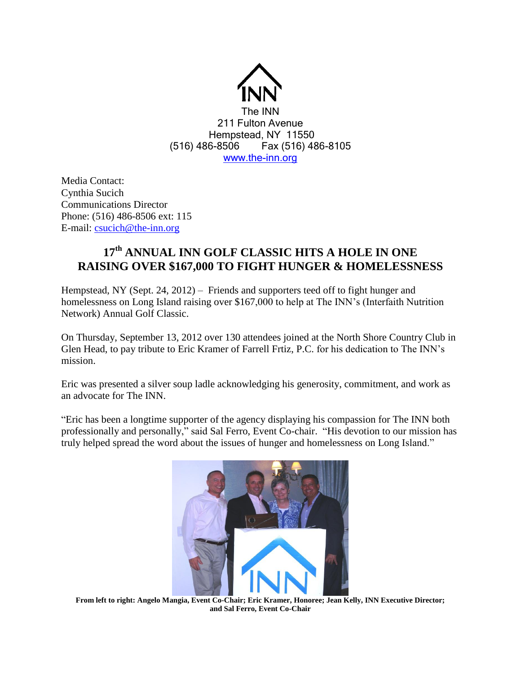

Media Contact: Cynthia Sucich Communications Director Phone: (516) 486-8506 ext: 115 E-mail: [csucich@the-inn.org](mailto:csucich@the-inn.org)

## **17th ANNUAL INN GOLF CLASSIC HITS A HOLE IN ONE RAISING OVER \$167,000 TO FIGHT HUNGER & HOMELESSNESS**

Hempstead, NY (Sept. 24, 2012) – Friends and supporters teed off to fight hunger and homelessness on Long Island raising over \$167,000 to help at The INN's (Interfaith Nutrition Network) Annual Golf Classic.

On Thursday, September 13, 2012 over 130 attendees joined at the North Shore Country Club in Glen Head, to pay tribute to Eric Kramer of Farrell Frtiz, P.C. for his dedication to The INN's mission.

Eric was presented a silver soup ladle acknowledging his generosity, commitment, and work as an advocate for The INN.

"Eric has been a longtime supporter of the agency displaying his compassion for The INN both professionally and personally," said Sal Ferro, Event Co-chair. "His devotion to our mission has truly helped spread the word about the issues of hunger and homelessness on Long Island."



**From left to right: Angelo Mangia, Event Co-Chair; Eric Kramer, Honoree; Jean Kelly, INN Executive Director; and Sal Ferro, Event Co-Chair**